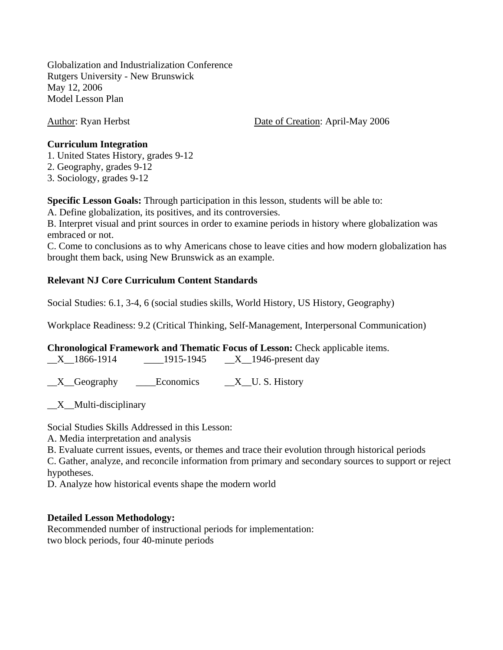Globalization and Industrialization Conference Rutgers University - New Brunswick May 12, 2006 Model Lesson Plan

Author: Ryan Herbst Date of Creation: April-May 2006

#### **Curriculum Integration**

1. United States History, grades 9-12

2. Geography, grades 9-12

3. Sociology, grades 9-12

**Specific Lesson Goals:** Through participation in this lesson, students will be able to:

A. Define globalization, its positives, and its controversies.

B. Interpret visual and print sources in order to examine periods in history where globalization was embraced or not.

C. Come to conclusions as to why Americans chose to leave cities and how modern globalization has brought them back, using New Brunswick as an example.

## **Relevant NJ Core Curriculum Content Standards**

Social Studies: 6.1, 3-4, 6 (social studies skills, World History, US History, Geography)

Workplace Readiness: 9.2 (Critical Thinking, Self-Management, Interpersonal Communication)

|                          |                               |                             | <b>Chronological Framework and Thematic Focus of Lesson:</b> Check applicable items. |
|--------------------------|-------------------------------|-----------------------------|--------------------------------------------------------------------------------------|
| $\mathbf{V} = 1077.1011$ | 101 $\epsilon$ 101 $\epsilon$ | $\mathbf{V}$ 1016 $\cdot$ 1 |                                                                                      |

 $X_{1866-1914}$   $1915-1945$   $X_{1946-19880}$  day

 $X$  Geography Leconomics  $X$  U. S. History

 $X$ <sub>\_</sub>Multi-disciplinary

Social Studies Skills Addressed in this Lesson:

A. Media interpretation and analysis

B. Evaluate current issues, events, or themes and trace their evolution through historical periods

C. Gather, analyze, and reconcile information from primary and secondary sources to support or reject hypotheses.

D. Analyze how historical events shape the modern world

### **Detailed Lesson Methodology:**

Recommended number of instructional periods for implementation: two block periods, four 40-minute periods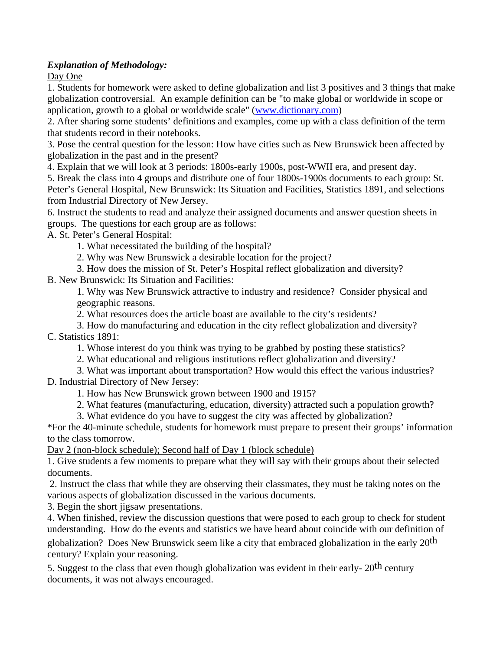## *Explanation of Methodology:*

Day One

1. Students for homework were asked to define globalization and list 3 positives and 3 things that make globalization controversial. An example definition can be "to make global or worldwide in scope or application, growth to a global or worldwide scale" (www.dictionary.com)

2. After sharing some students' definitions and examples, come up with a class definition of the term that students record in their notebooks.

3. Pose the central question for the lesson: How have cities such as New Brunswick been affected by globalization in the past and in the present?

4. Explain that we will look at 3 periods: 1800s-early 1900s, post-WWII era, and present day.

5. Break the class into 4 groups and distribute one of four 1800s-1900s documents to each group: St. Peter's General Hospital, New Brunswick: Its Situation and Facilities, Statistics 1891, and selections from Industrial Directory of New Jersey.

6. Instruct the students to read and analyze their assigned documents and answer question sheets in groups. The questions for each group are as follows:

A. St. Peter's General Hospital:

1. What necessitated the building of the hospital?

2. Why was New Brunswick a desirable location for the project?

3. How does the mission of St. Peter's Hospital reflect globalization and diversity?

B. New Brunswick: Its Situation and Facilities:

1. Why was New Brunswick attractive to industry and residence? Consider physical and geographic reasons.

2. What resources does the article boast are available to the city's residents?

3. How do manufacturing and education in the city reflect globalization and diversity? C. Statistics 1891:

1. Whose interest do you think was trying to be grabbed by posting these statistics?

2. What educational and religious institutions reflect globalization and diversity?

3. What was important about transportation? How would this effect the various industries?

D. Industrial Directory of New Jersey:

1. How has New Brunswick grown between 1900 and 1915?

2. What features (manufacturing, education, diversity) attracted such a population growth?

3. What evidence do you have to suggest the city was affected by globalization?

\*For the 40-minute schedule, students for homework must prepare to present their groups' information to the class tomorrow.

Day 2 (non-block schedule); Second half of Day 1 (block schedule)

1. Give students a few moments to prepare what they will say with their groups about their selected documents.

 2. Instruct the class that while they are observing their classmates, they must be taking notes on the various aspects of globalization discussed in the various documents.

3. Begin the short jigsaw presentations.

4. When finished, review the discussion questions that were posed to each group to check for student understanding. How do the events and statistics we have heard about coincide with our definition of globalization? Does New Brunswick seem like a city that embraced globalization in the early 20th century? Explain your reasoning.

5. Suggest to the class that even though globalization was evident in their early- 20<sup>th</sup> century documents, it was not always encouraged.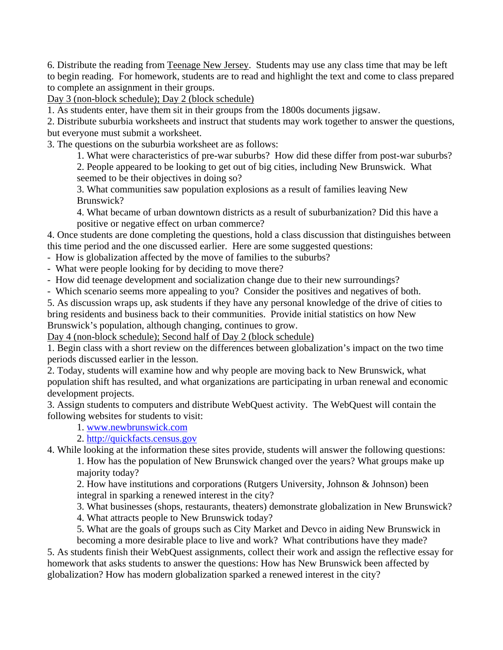6. Distribute the reading from Teenage New Jersey. Students may use any class time that may be left to begin reading. For homework, students are to read and highlight the text and come to class prepared to complete an assignment in their groups.

Day 3 (non-block schedule); Day 2 (block schedule)

1. As students enter, have them sit in their groups from the 1800s documents jigsaw.

2. Distribute suburbia worksheets and instruct that students may work together to answer the questions, but everyone must submit a worksheet.

3. The questions on the suburbia worksheet are as follows:

1. What were characteristics of pre-war suburbs? How did these differ from post-war suburbs?

2. People appeared to be looking to get out of big cities, including New Brunswick. What seemed to be their objectives in doing so?

3. What communities saw population explosions as a result of families leaving New Brunswick?

4. What became of urban downtown districts as a result of suburbanization? Did this have a positive or negative effect on urban commerce?

4. Once students are done completing the questions, hold a class discussion that distinguishes between this time period and the one discussed earlier. Here are some suggested questions:

- How is globalization affected by the move of families to the suburbs?

- What were people looking for by deciding to move there?

- How did teenage development and socialization change due to their new surroundings?

- Which scenario seems more appealing to you? Consider the positives and negatives of both.

5. As discussion wraps up, ask students if they have any personal knowledge of the drive of cities to bring residents and business back to their communities. Provide initial statistics on how New Brunswick's population, although changing, continues to grow.

Day 4 (non-block schedule); Second half of Day 2 (block schedule)

1. Begin class with a short review on the differences between globalization's impact on the two time periods discussed earlier in the lesson.

2. Today, students will examine how and why people are moving back to New Brunswick, what population shift has resulted, and what organizations are participating in urban renewal and economic development projects.

3. Assign students to computers and distribute WebQuest activity. The WebQuest will contain the following websites for students to visit:

1. www.newbrunswick.com

2. http://quickfacts.census.gov

4. While looking at the information these sites provide, students will answer the following questions:

1. How has the population of New Brunswick changed over the years? What groups make up majority today?

2. How have institutions and corporations (Rutgers University, Johnson & Johnson) been integral in sparking a renewed interest in the city?

3. What businesses (shops, restaurants, theaters) demonstrate globalization in New Brunswick?

4. What attracts people to New Brunswick today?

5. What are the goals of groups such as City Market and Devco in aiding New Brunswick in becoming a more desirable place to live and work? What contributions have they made?

5. As students finish their WebQuest assignments, collect their work and assign the reflective essay for homework that asks students to answer the questions: How has New Brunswick been affected by globalization? How has modern globalization sparked a renewed interest in the city?